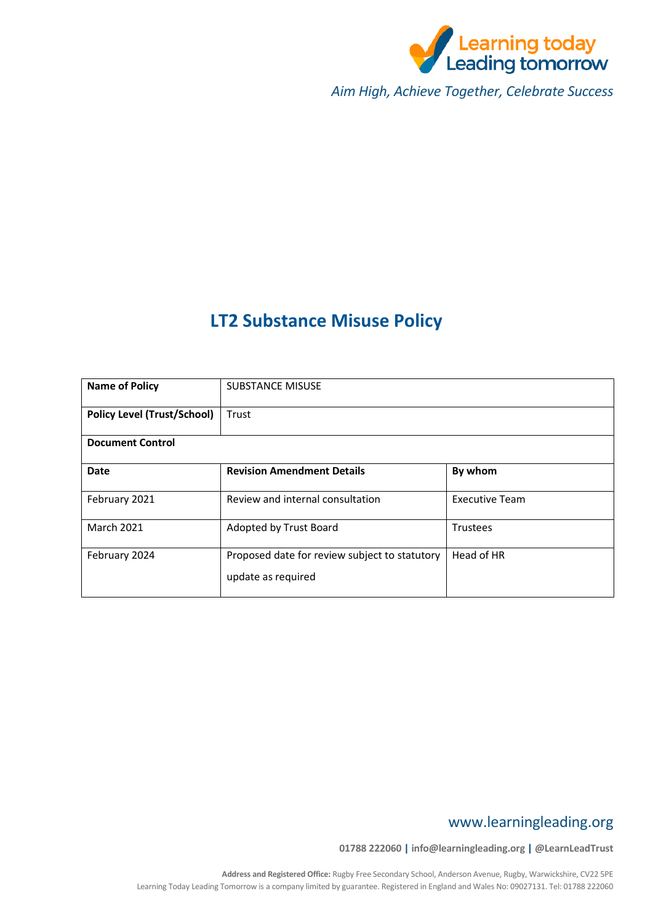

*Aim High, Achieve Together, Celebrate Success*

# **LT2 Substance Misuse Policy**

| <b>Name of Policy</b>              | <b>SUBSTANCE MISUSE</b>                                             |                       |  |  |
|------------------------------------|---------------------------------------------------------------------|-----------------------|--|--|
| <b>Policy Level (Trust/School)</b> | Trust                                                               |                       |  |  |
| <b>Document Control</b>            |                                                                     |                       |  |  |
| <b>Date</b>                        | <b>Revision Amendment Details</b>                                   | By whom               |  |  |
| February 2021                      | Review and internal consultation                                    | <b>Executive Team</b> |  |  |
| <b>March 2021</b>                  | Adopted by Trust Board                                              | <b>Trustees</b>       |  |  |
| February 2024                      | Proposed date for review subject to statutory<br>update as required | Head of HR            |  |  |

# www.learningleading.org

**01788 222060 | info@learningleading.org | @LearnLeadTrust**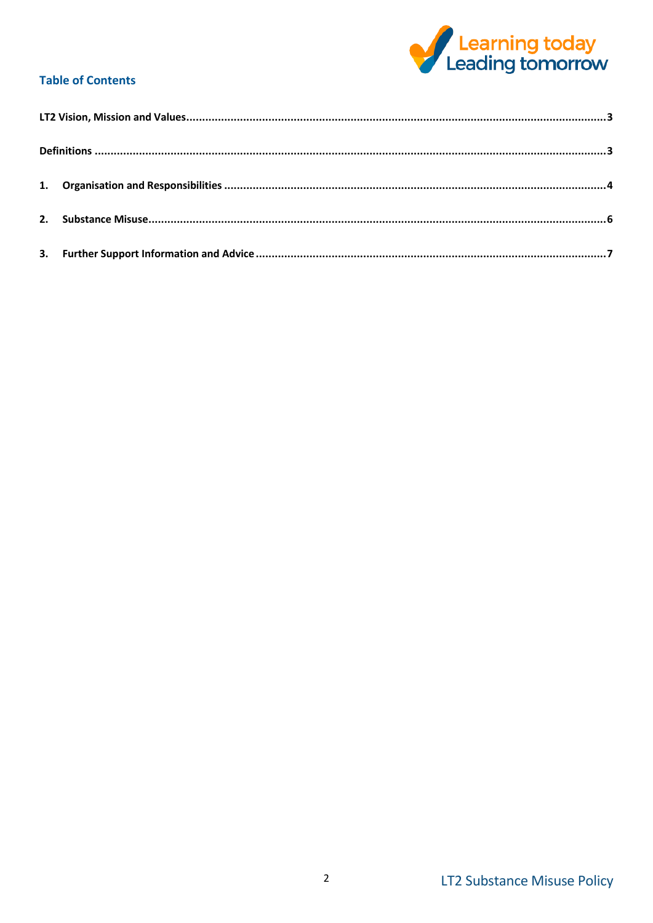

# **Table of Contents**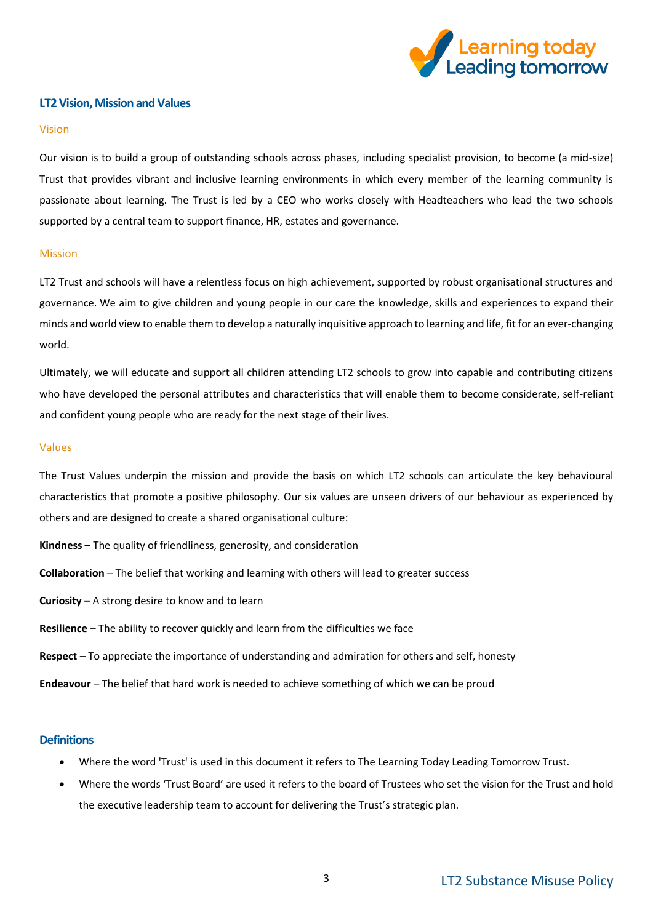

#### <span id="page-2-0"></span>**LT2 Vision, Mission and Values**

#### Vision

Our vision is to build a group of outstanding schools across phases, including specialist provision, to become (a mid-size) Trust that provides vibrant and inclusive learning environments in which every member of the learning community is passionate about learning. The Trust is led by a CEO who works closely with Headteachers who lead the two schools supported by a central team to support finance, HR, estates and governance.

#### Mission

LT2 Trust and schools will have a relentless focus on high achievement, supported by robust organisational structures and governance. We aim to give children and young people in our care the knowledge, skills and experiences to expand their minds and world view to enable them to develop a naturally inquisitive approach to learning and life, fit for an ever-changing world.

Ultimately, we will educate and support all children attending LT2 schools to grow into capable and contributing citizens who have developed the personal attributes and characteristics that will enable them to become considerate, self-reliant and confident young people who are ready for the next stage of their lives.

#### Values

The Trust Values underpin the mission and provide the basis on which LT2 schools can articulate the key behavioural characteristics that promote a positive philosophy. Our six values are unseen drivers of our behaviour as experienced by others and are designed to create a shared organisational culture:

- **Kindness –** The quality of friendliness, generosity, and consideration
- **Collaboration** The belief that working and learning with others will lead to greater success
- **Curiosity –** A strong desire to know and to learn
- **Resilience** The ability to recover quickly and learn from the difficulties we face
- **Respect** To appreciate the importance of understanding and admiration for others and self, honesty
- **Endeavour** The belief that hard work is needed to achieve something of which we can be proud

#### <span id="page-2-1"></span>**Definitions**

- Where the word 'Trust' is used in this document it refers to The Learning Today Leading Tomorrow Trust.
- Where the words 'Trust Board' are used it refers to the board of Trustees who set the vision for the Trust and hold the executive leadership team to account for delivering the Trust's strategic plan.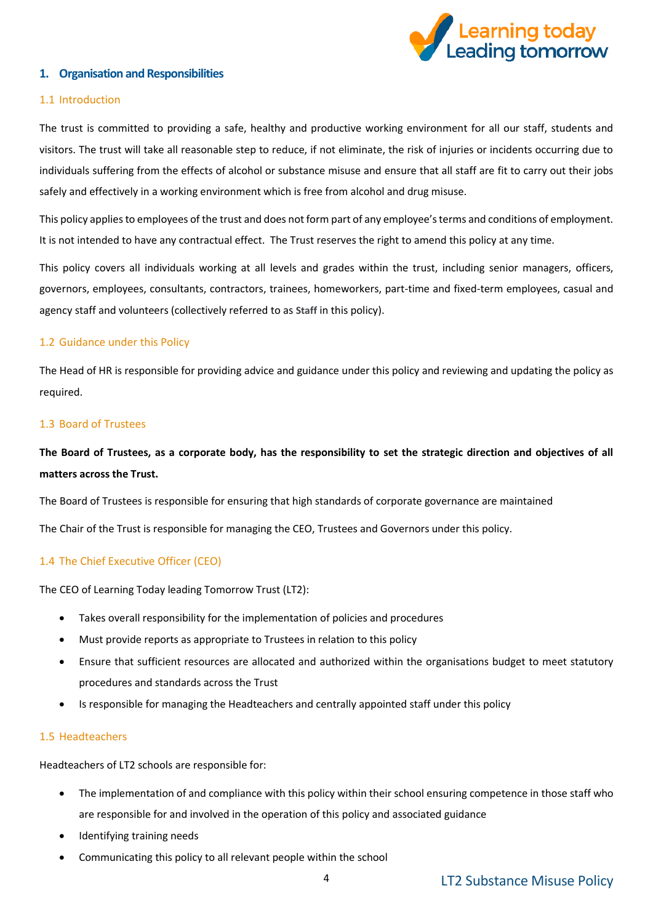

# <span id="page-3-0"></span>**1. Organisation and Responsibilities**

# 1.1 Introduction

The trust is committed to providing a safe, healthy and productive working environment for all our staff, students and visitors. The trust will take all reasonable step to reduce, if not eliminate, the risk of injuries or incidents occurring due to individuals suffering from the effects of alcohol or substance misuse and ensure that all staff are fit to carry out their jobs safely and effectively in a working environment which is free from alcohol and drug misuse.

This policy applies to employees of the trust and does not form part of any employee's terms and conditions of employment. It is not intended to have any contractual effect. The Trust reserves the right to amend this policy at any time.

This policy covers all individuals working at all levels and grades within the trust, including senior managers, officers, governors, employees, consultants, contractors, trainees, homeworkers, part-time and fixed-term employees, casual and agency staff and volunteers (collectively referred to as **Staff** in this policy).

# 1.2 Guidance under this Policy

The Head of HR is responsible for providing advice and guidance under this policy and reviewing and updating the policy as required.

#### 1.3 Board of Trustees

# **The Board of Trustees, as a corporate body, has the responsibility to set the strategic direction and objectives of all matters across the Trust.**

The Board of Trustees is responsible for ensuring that high standards of corporate governance are maintained

The Chair of the Trust is responsible for managing the CEO, Trustees and Governors under this policy.

# 1.4 The Chief Executive Officer (CEO)

The CEO of Learning Today leading Tomorrow Trust (LT2):

- Takes overall responsibility for the implementation of policies and procedures
- Must provide reports as appropriate to Trustees in relation to this policy
- Ensure that sufficient resources are allocated and authorized within the organisations budget to meet statutory procedures and standards across the Trust
- Is responsible for managing the Headteachers and centrally appointed staff under this policy

#### 1.5 Headteachers

Headteachers of LT2 schools are responsible for:

- The implementation of and compliance with this policy within their school ensuring competence in those staff who are responsible for and involved in the operation of this policy and associated guidance
- Identifying training needs
- Communicating this policy to all relevant people within the school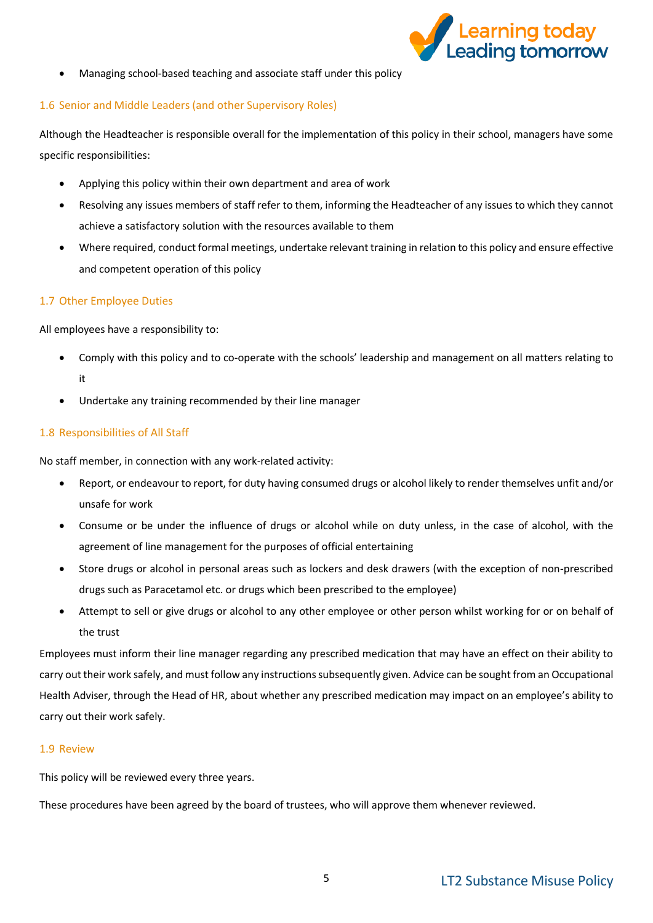

• Managing school-based teaching and associate staff under this policy

#### 1.6 Senior and Middle Leaders (and other Supervisory Roles)

Although the Headteacher is responsible overall for the implementation of this policy in their school, managers have some specific responsibilities:

- Applying this policy within their own department and area of work
- Resolving any issues members of staff refer to them, informing the Headteacher of any issues to which they cannot achieve a satisfactory solution with the resources available to them
- Where required, conduct formal meetings, undertake relevant training in relation to this policy and ensure effective and competent operation of this policy

# 1.7 Other Employee Duties

All employees have a responsibility to:

- Comply with this policy and to co-operate with the schools' leadership and management on all matters relating to it
- Undertake any training recommended by their line manager

#### 1.8 Responsibilities of All Staff

No staff member, in connection with any work-related activity:

- Report, or endeavour to report, for duty having consumed drugs or alcohol likely to render themselves unfit and/or unsafe for work
- Consume or be under the influence of drugs or alcohol while on duty unless, in the case of alcohol, with the agreement of line management for the purposes of official entertaining
- Store drugs or alcohol in personal areas such as lockers and desk drawers (with the exception of non-prescribed drugs such as Paracetamol etc. or drugs which been prescribed to the employee)
- Attempt to sell or give drugs or alcohol to any other employee or other person whilst working for or on behalf of the trust

Employees must inform their line manager regarding any prescribed medication that may have an effect on their ability to carry out their work safely, and must follow any instructions subsequently given. Advice can be sought from an Occupational Health Adviser, through the Head of HR, about whether any prescribed medication may impact on an employee's ability to carry out their work safely.

# 1.9 Review

This policy will be reviewed every three years.

These procedures have been agreed by the board of trustees, who will approve them whenever reviewed.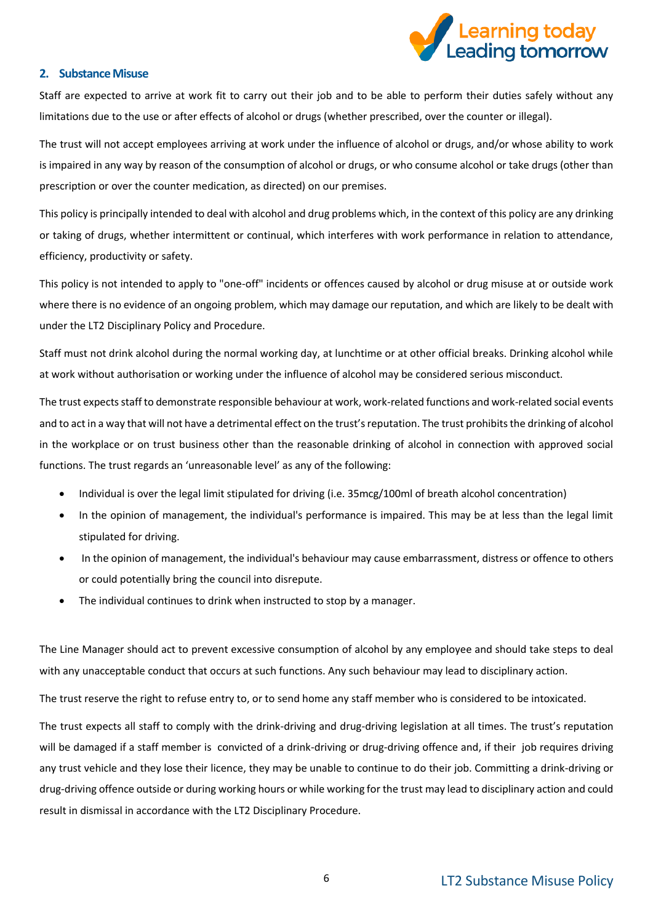

#### <span id="page-5-0"></span>**2. Substance Misuse**

Staff are expected to arrive at work fit to carry out their job and to be able to perform their duties safely without any limitations due to the use or after effects of alcohol or drugs (whether prescribed, over the counter or illegal).

The trust will not accept employees arriving at work under the influence of alcohol or drugs, and/or whose ability to work is impaired in any way by reason of the consumption of alcohol or drugs, or who consume alcohol or take drugs (other than prescription or over the counter medication, as directed) on our premises.

This policy is principally intended to deal with alcohol and drug problems which, in the context of this policy are any drinking or taking of drugs, whether intermittent or continual, which interferes with work performance in relation to attendance, efficiency, productivity or safety.

This policy is not intended to apply to "one-off" incidents or offences caused by alcohol or drug misuse at or outside work where there is no evidence of an ongoing problem, which may damage our reputation, and which are likely to be dealt with under the LT2 Disciplinary Policy and Procedure.

Staff must not drink alcohol during the normal working day, at lunchtime or at other official breaks. Drinking alcohol while at work without authorisation or working under the influence of alcohol may be considered serious misconduct.

The trust expects staff to demonstrate responsible behaviour at work, work-related functions and work-related social events and to act in a way that will not have a detrimental effect on the trust's reputation. The trust prohibits the drinking of alcohol in the workplace or on trust business other than the reasonable drinking of alcohol in connection with approved social functions. The trust regards an 'unreasonable level' as any of the following:

- Individual is over the legal limit stipulated for driving (i.e. 35mcg/100ml of breath alcohol concentration)
- In the opinion of management, the individual's performance is impaired. This may be at less than the legal limit stipulated for driving.
- In the opinion of management, the individual's behaviour may cause embarrassment, distress or offence to others or could potentially bring the council into disrepute.
- The individual continues to drink when instructed to stop by a manager.

The Line Manager should act to prevent excessive consumption of alcohol by any employee and should take steps to deal with any unacceptable conduct that occurs at such functions. Any such behaviour may lead to disciplinary action.

The trust reserve the right to refuse entry to, or to send home any staff member who is considered to be intoxicated.

The trust expects all staff to comply with the drink-driving and drug-driving legislation at all times. The trust's reputation will be damaged if a staff member is convicted of a drink-driving or drug-driving offence and, if their job requires driving any trust vehicle and they lose their licence, they may be unable to continue to do their job. Committing a drink-driving or drug-driving offence outside or during working hours or while working for the trust may lead to disciplinary action and could result in dismissal in accordance with the LT2 Disciplinary Procedure.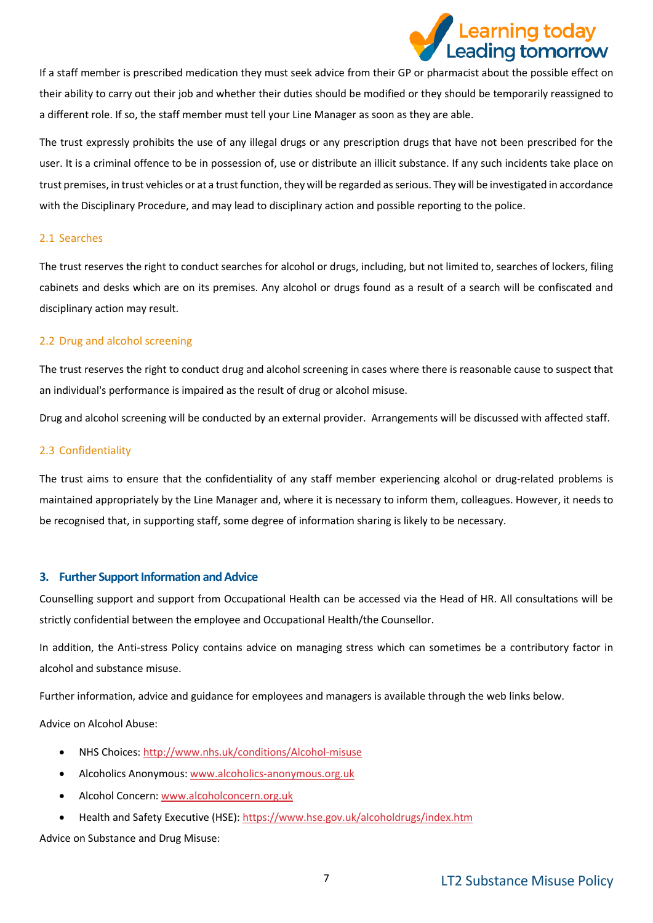

If a staff member is prescribed medication they must seek advice from their GP or pharmacist about the possible effect on their ability to carry out their job and whether their duties should be modified or they should be temporarily reassigned to a different role. If so, the staff member must tell your Line Manager as soon as they are able.

The trust expressly prohibits the use of any illegal drugs or any prescription drugs that have not been prescribed for the user. It is a criminal offence to be in possession of, use or distribute an illicit substance. If any such incidents take place on trust premises, in trust vehicles or at a trust function, they will be regarded as serious. They will be investigated in accordance with the Disciplinary Procedure, and may lead to disciplinary action and possible reporting to the police.

#### 2.1 Searches

The trust reserves the right to conduct searches for alcohol or drugs, including, but not limited to, searches of lockers, filing cabinets and desks which are on its premises. Any alcohol or drugs found as a result of a search will be confiscated and disciplinary action may result.

# 2.2 Drug and alcohol screening

The trust reserves the right to conduct drug and alcohol screening in cases where there is reasonable cause to suspect that an individual's performance is impaired as the result of drug or alcohol misuse.

Drug and alcohol screening will be conducted by an external provider. Arrangements will be discussed with affected staff.

#### 2.3 Confidentiality

The trust aims to ensure that the confidentiality of any staff member experiencing alcohol or drug-related problems is maintained appropriately by the Line Manager and, where it is necessary to inform them, colleagues. However, it needs to be recognised that, in supporting staff, some degree of information sharing is likely to be necessary.

# <span id="page-6-0"></span>**3. Further Support Information and Advice**

Counselling support and support from Occupational Health can be accessed via the Head of HR. All consultations will be strictly confidential between the employee and Occupational Health/the Counsellor.

In addition, the Anti-stress Policy contains advice on managing stress which can sometimes be a contributory factor in alcohol and substance misuse.

Further information, advice and guidance for employees and managers is available through the web links below.

Advice on Alcohol Abuse:

- NHS Choices: <http://www.nhs.uk/conditions/Alcohol-misuse>
- Alcoholics Anonymous[: www.alcoholics-anonymous.org.uk](file://///rf-srv-rfdc-fs1/staff-home$/Georgina.Langley/Downloads/www.alcoholics-anonymous.org.uk)
- Alcohol Concern: [www.alcoholconcern.org.uk](http://www.alcoholconcern.org.uk/)
- Health and Safety Executive (HSE):<https://www.hse.gov.uk/alcoholdrugs/index.htm>

Advice on Substance and Drug Misuse: